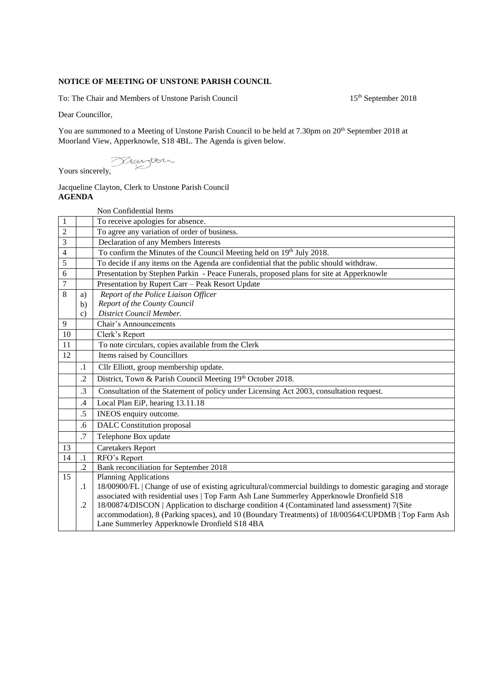## **NOTICE OF MEETING OF UNSTONE PARISH COUNCIL**

To: The Chair and Members of Unstone Parish Council 15<sup>th</sup> September 2018

Dear Councillor,

You are summoned to a Meeting of Unstone Parish Council to be held at 7.30pm on 20<sup>th</sup> September 2018 at Moorland View, Apperknowle, S18 4BL. The Agenda is given below.

Yours sincerely,

## Jacqueline Clayton, Clerk to Unstone Parish Council **AGENDA**

|                |               | Non Confidential Items                                                                                                                             |
|----------------|---------------|----------------------------------------------------------------------------------------------------------------------------------------------------|
| $\mathbf{1}$   |               | To receive apologies for absence.                                                                                                                  |
| $\overline{c}$ |               | To agree any variation of order of business.                                                                                                       |
| 3              |               | Declaration of any Members Interests                                                                                                               |
| 4              |               | To confirm the Minutes of the Council Meeting held on 19th July 2018.                                                                              |
| 5              |               | To decide if any items on the Agenda are confidential that the public should withdraw.                                                             |
| 6              |               | Presentation by Stephen Parkin - Peace Funerals, proposed plans for site at Apperknowle                                                            |
| $\overline{7}$ |               | Presentation by Rupert Carr - Peak Resort Update                                                                                                   |
| 8              | a)            | Report of the Police Liaison Officer                                                                                                               |
|                | $\mathbf{b}$  | Report of the County Council                                                                                                                       |
|                | $\mathbf{c}$  | District Council Member.                                                                                                                           |
| 9              |               | <b>Chair's Announcements</b>                                                                                                                       |
| 10             |               | Clerk's Report                                                                                                                                     |
| 11             |               | To note circulars, copies available from the Clerk                                                                                                 |
| 12             |               | Items raised by Councillors                                                                                                                        |
|                | $\cdot$ 1     | Cllr Elliott, group membership update.                                                                                                             |
|                | .2            | District, Town & Parish Council Meeting 19th October 2018.                                                                                         |
|                | $\cdot$ 3     | Consultation of the Statement of policy under Licensing Act 2003, consultation request.                                                            |
|                | $\mathcal{A}$ | Local Plan EiP, hearing 13.11.18                                                                                                                   |
|                | .5            | INEOS enquiry outcome.                                                                                                                             |
|                | .6            | <b>DALC</b> Constitution proposal                                                                                                                  |
|                | .7            | Telephone Box update                                                                                                                               |
| 13             |               | <b>Caretakers Report</b>                                                                                                                           |
| 14             | $\cdot$ 1     | RFO's Report                                                                                                                                       |
|                | $\cdot$ .2    | Bank reconciliation for September 2018                                                                                                             |
| 15             |               | <b>Planning Applications</b>                                                                                                                       |
|                | $\cdot$ 1     | 18/00900/FL   Change of use of existing agricultural/commercial buildings to domestic garaging and storage                                         |
|                |               | associated with residential uses   Top Farm Ash Lane Summerley Apperknowle Dronfield S18                                                           |
|                | $\cdot$       | 18/00874/DISCON   Application to discharge condition 4 (Contaminated land assessment) 7(Site                                                       |
|                |               | accommodation), 8 (Parking spaces), and 10 (Boundary Treatments) of 18/00564/CUPDMB   Top Farm Ash<br>Lane Summerley Apperknowle Dronfield S18 4BA |
|                |               |                                                                                                                                                    |